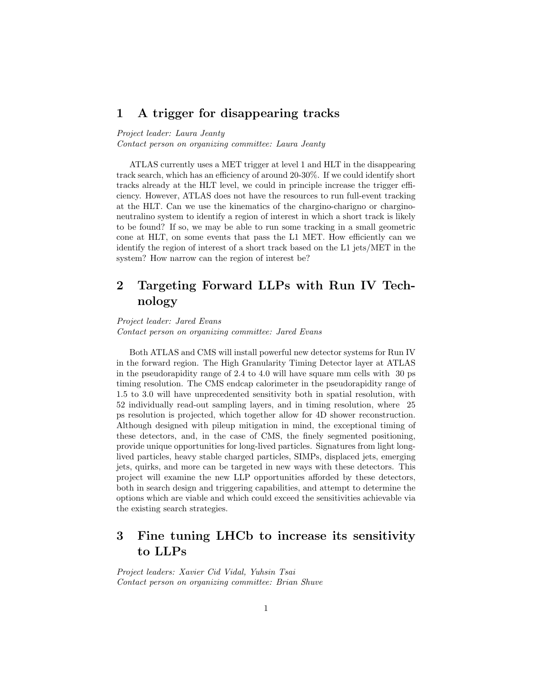#### 1 A trigger for disappearing tracks

Project leader: Laura Jeanty

Contact person on organizing committee: Laura Jeanty

ATLAS currently uses a MET trigger at level 1 and HLT in the disappearing track search, which has an efficiency of around 20-30%. If we could identify short tracks already at the HLT level, we could in principle increase the trigger efficiency. However, ATLAS does not have the resources to run full-event tracking at the HLT. Can we use the kinematics of the chargino-charigno or charginoneutralino system to identify a region of interest in which a short track is likely to be found? If so, we may be able to run some tracking in a small geometric cone at HLT, on some events that pass the L1 MET. How efficiently can we identify the region of interest of a short track based on the L1 jets/MET in the system? How narrow can the region of interest be?

# 2 Targeting Forward LLPs with Run IV Technology

Project leader: Jared Evans Contact person on organizing committee: Jared Evans

Both ATLAS and CMS will install powerful new detector systems for Run IV in the forward region. The High Granularity Timing Detector layer at ATLAS in the pseudorapidity range of 2.4 to 4.0 will have square mm cells with 30 ps timing resolution. The CMS endcap calorimeter in the pseudorapidity range of 1.5 to 3.0 will have unprecedented sensitivity both in spatial resolution, with 52 individually read-out sampling layers, and in timing resolution, where 25 ps resolution is projected, which together allow for 4D shower reconstruction. Although designed with pileup mitigation in mind, the exceptional timing of these detectors, and, in the case of CMS, the finely segmented positioning, provide unique opportunities for long-lived particles. Signatures from light longlived particles, heavy stable charged particles, SIMPs, displaced jets, emerging jets, quirks, and more can be targeted in new ways with these detectors. This project will examine the new LLP opportunities afforded by these detectors, both in search design and triggering capabilities, and attempt to determine the options which are viable and which could exceed the sensitivities achievable via the existing search strategies.

## 3 Fine tuning LHCb to increase its sensitivity to LLPs

Project leaders: Xavier Cid Vidal, Yuhsin Tsai Contact person on organizing committee: Brian Shuve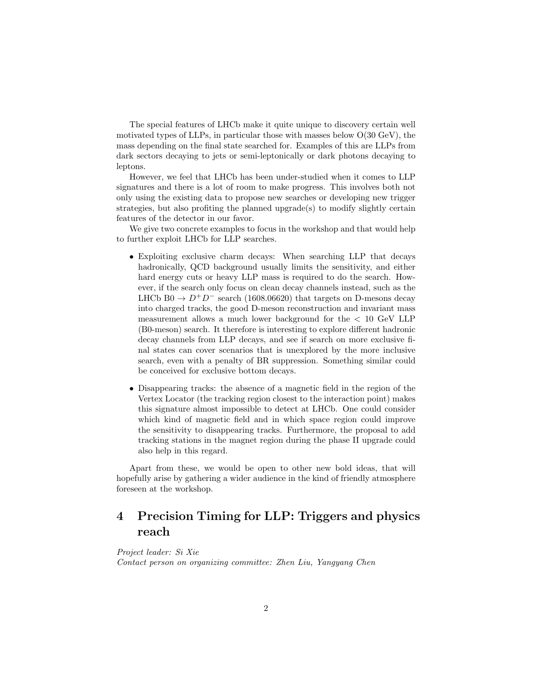The special features of LHCb make it quite unique to discovery certain well motivated types of LLPs, in particular those with masses below O(30 GeV), the mass depending on the final state searched for. Examples of this are LLPs from dark sectors decaying to jets or semi-leptonically or dark photons decaying to leptons.

However, we feel that LHCb has been under-studied when it comes to LLP signatures and there is a lot of room to make progress. This involves both not only using the existing data to propose new searches or developing new trigger strategies, but also profiting the planned upgrade(s) to modify slightly certain features of the detector in our favor.

We give two concrete examples to focus in the workshop and that would help to further exploit LHCb for LLP searches.

- Exploiting exclusive charm decays: When searching LLP that decays hadronically, QCD background usually limits the sensitivity, and either hard energy cuts or heavy LLP mass is required to do the search. However, if the search only focus on clean decay channels instead, such as the LHCb B0  $\rightarrow$  D<sup>+</sup>D<sup>-</sup> search (1608.06620) that targets on D-mesons decay into charged tracks, the good D-meson reconstruction and invariant mass measurement allows a much lower background for the < 10 GeV LLP (B0-meson) search. It therefore is interesting to explore different hadronic decay channels from LLP decays, and see if search on more exclusive final states can cover scenarios that is unexplored by the more inclusive search, even with a penalty of BR suppression. Something similar could be conceived for exclusive bottom decays.
- Disappearing tracks: the absence of a magnetic field in the region of the Vertex Locator (the tracking region closest to the interaction point) makes this signature almost impossible to detect at LHCb. One could consider which kind of magnetic field and in which space region could improve the sensitivity to disappearing tracks. Furthermore, the proposal to add tracking stations in the magnet region during the phase II upgrade could also help in this regard.

Apart from these, we would be open to other new bold ideas, that will hopefully arise by gathering a wider audience in the kind of friendly atmosphere foreseen at the workshop.

## 4 Precision Timing for LLP: Triggers and physics reach

Project leader: Si Xie Contact person on organizing committee: Zhen Liu, Yangyang Chen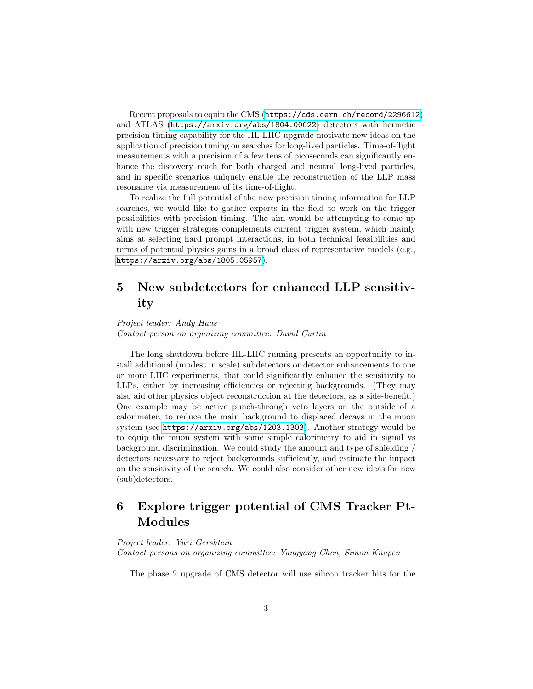Recent proposals to equip the CMS (<https://cds.cern.ch/record/2296612>) and ATLAS (<https://arxiv.org/abs/1804.00622>) detectors with hermetic precision timing capability for the HL-LHC upgrade motivate new ideas on the application of precision timing on searches for long-lived particles. Time-of-flight measurements with a precision of a few tens of picoseconds can significantly enhance the discovery reach for both charged and neutral long-lived particles, and in specific scenarios uniquely enable the reconstruction of the LLP mass resonance via measurement of its time-of-flight.

To realize the full potential of the new precision timing information for LLP searches, we would like to gather experts in the field to work on the trigger possibilities with precision timing. The aim would be attempting to come up with new trigger strategies complements current trigger system, which mainly aims at selecting hard prompt interactions, in both technical feasibilities and terms of potential physics gains in a broad class of representative models (e.g., <https://arxiv.org/abs/1805.05957>).

### 5 New subdetectors for enhanced LLP sensitivity

#### Project leader: Andy Haas Contact person on organizing committee: David Curtin

The long shutdown before HL-LHC running presents an opportunity to install additional (modest in scale) subdetectors or detector enhancements to one or more LHC experiments, that could significantly enhance the sensitivity to LLPs, either by increasing efficiencies or rejecting backgrounds. (They may also aid other physics object reconstruction at the detectors, as a side-benefit.) One example may be active punch-through veto layers on the outside of a calorimeter, to reduce the main background to displaced decays in the muon system (see <https://arxiv.org/abs/1203.1303>). Another strategy would be to equip the muon system with some simple calorimetry to aid in signal vs background discrimination. We could study the amount and type of shielding / detectors necessary to reject backgrounds sufficiently, and estimate the impact on the sensitivity of the search. We could also consider other new ideas for new (sub)detectors.

## 6 Explore trigger potential of CMS Tracker Pt-Modules

#### Project leader: Yuri Gershtein Contact persons on organizing committee: Yangyang Chen, Simon Knapen

The phase 2 upgrade of CMS detector will use silicon tracker hits for the